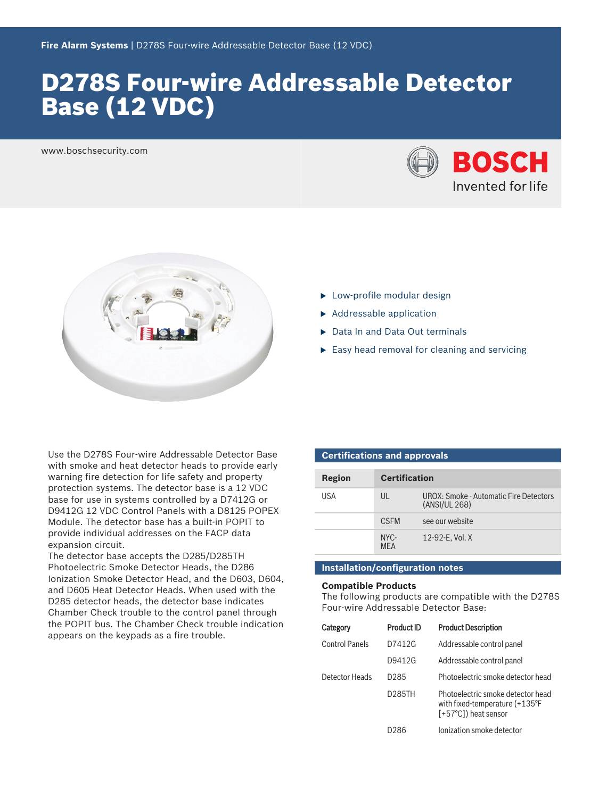# D278S Four‑wire Addressable Detector Base (12 VDC)

www.boschsecurity.com





- $\blacktriangleright$  Low-profile modular design
- $\blacktriangleright$  Addressable application
- ▶ Data In and Data Out terminals
- $\triangleright$  Easy head removal for cleaning and servicing

Use the D278S Four‑wire Addressable Detector Base with smoke and heat detector heads to provide early warning fire detection for life safety and property protection systems. The detector base is a 12 VDC base for use in systems controlled by a D7412G or D9412G 12 VDC Control Panels with a D8125 POPEX Module. The detector base has a built-in POPIT to provide individual addresses on the FACP data expansion circuit.

The detector base accepts the D285/D285TH Photoelectric Smoke Detector Heads, the D286 Ionization Smoke Detector Head, and the D603, D604, and D605 Heat Detector Heads. When used with the D285 detector heads, the detector base indicates Chamber Check trouble to the control panel through the POPIT bus. The Chamber Check trouble indication appears on the keypads as a fire trouble.

| <b>Certifications and approvals</b> |                      |                                                         |  |  |
|-------------------------------------|----------------------|---------------------------------------------------------|--|--|
| Region                              | <b>Certification</b> |                                                         |  |  |
| USA                                 | UL                   | UROX: Smoke - Automatic Fire Detectors<br>(ANSI/UL 268) |  |  |
|                                     | <b>CSEM</b>          | see our website                                         |  |  |
|                                     | NYC-<br><b>MFA</b>   | 12-92-E. Vol. X                                         |  |  |

## **Installation/configuration notes**

### **Compatible Products**

The following products are compatible with the D278S Four‑wire Addressable Detector Base:

| Category              | <b>Product ID</b> | <b>Product Description</b>                                                                                      |
|-----------------------|-------------------|-----------------------------------------------------------------------------------------------------------------|
| <b>Control Panels</b> | D7412G            | Addressable control panel                                                                                       |
|                       | D9412G            | Addressable control panel                                                                                       |
| Detector Heads        | D285              | Photoelectric smoke detector head                                                                               |
|                       | D285TH            | Photoelectric smoke detector head<br>with fixed-temperature $(+135^{\circ}F)$<br>$[-57^{\circ}C]$ ) heat sensor |
|                       | D286              | Ionization smoke detector                                                                                       |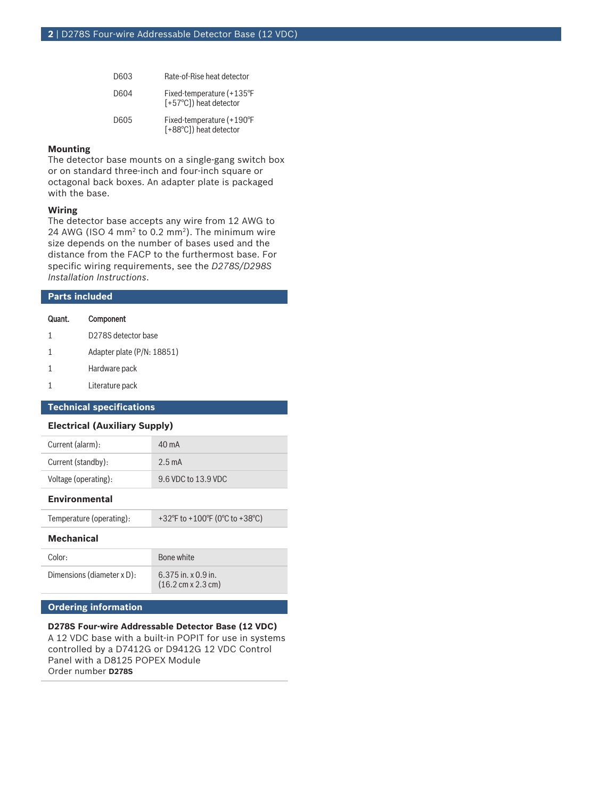| D603 | Rate-of-Rise heat detector                          |
|------|-----------------------------------------------------|
| D604 | Fixed-temperature (+135°F<br>[+57°C]) heat detector |
| D605 | Fixed-temperature (+190°F<br>[+88°C]) heat detector |

### **Mounting**

The detector base mounts on a single‑gang switch box or on standard three‑inch and four‑inch square or octagonal back boxes. An adapter plate is packaged with the base.

### **Wiring**

The detector base accepts any wire from 12 AWG to 24 AWG (ISO 4  $mm<sup>2</sup>$  to 0.2  $mm<sup>2</sup>$ ). The minimum wire size depends on the number of bases used and the distance from the FACP to the furthermost base. For specific wiring requirements, see the *D278S/D298S Installation Instructions*.

| <b>Parts included</b>                |                            |  |
|--------------------------------------|----------------------------|--|
| Quant.                               | Component                  |  |
| 1                                    | D278S detector base        |  |
| 1                                    | Adapter plate (P/N: 18851) |  |
| 1                                    | Hardware pack              |  |
| 1                                    | Literature pack            |  |
| <b>Technical specifications</b>      |                            |  |
| <b>Electrical (Auxiliary Supply)</b> |                            |  |

| Current (alarm):     | $40 \text{ mA}$     |
|----------------------|---------------------|
| Current (standby):   | $2.5 \text{ mA}$    |
| Voltage (operating): | 9.6 VDC to 13.9 VDC |

### **Environmental**

Temperature (operating):  $+32^{\circ}$ F to +100°F (0°C to +38°C)

### **Mechanical**

| Color:                     | Bone white                                                         |
|----------------------------|--------------------------------------------------------------------|
| Dimensions (diameter x D): | $6.375$ in. x 0.9 in.<br>$(16.2 \text{ cm} \times 2.3 \text{ cm})$ |

# **Ordering information**

**D278S Four‑wire Addressable Detector Base (12 VDC)** A 12 VDC base with a built-in POPIT for use in systems controlled by a D7412G or D9412G 12 VDC Control Panel with a D8125 POPEX Module Order number **D278S**